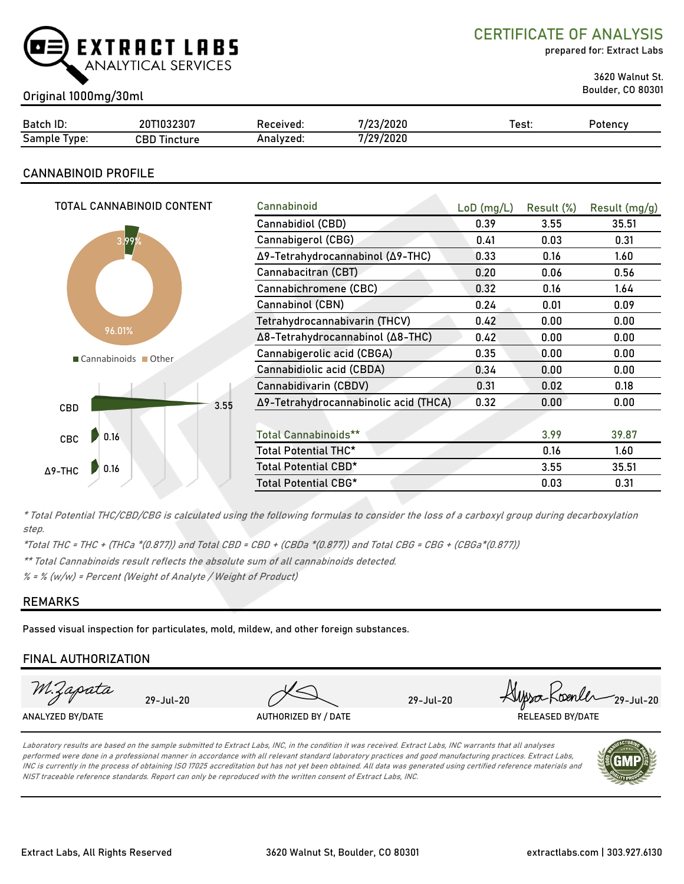

CERTIFICATE OF ANALYSIS

prepared for: Extract Labs

3620 Walnut St.

## Boulder, CO 80301 Original 1000mg/30ml

| ID:<br>Batch    | 20T1032307                     | Received: | 7/23/2020       | ™est. | Potencv |
|-----------------|--------------------------------|-----------|-----------------|-------|---------|
| Sample<br>lype: | CBD T <sup>:</sup><br>Tincture | Analyzed. | 7/29/2020<br>74 |       |         |

## CANNABINOID PROFILE

| TOTAL CANNABINOID CONTENT |      | Cannabinoid                           | $LoD$ (mg/L) | Result (%) | Result (mg/g) |
|---------------------------|------|---------------------------------------|--------------|------------|---------------|
|                           |      | Cannabidiol (CBD)                     | 0.39         | 3.55       | 35.51         |
| 3.99%                     |      | Cannabigerol (CBG)                    | 0.41         | 0.03       | 0.31          |
|                           |      | Δ9-Tetrahydrocannabinol (Δ9-THC)      | 0.33         | 0.16       | 1.60          |
|                           |      | Cannabacitran (CBT)                   | 0.20         | 0.06       | 0.56          |
|                           |      | Cannabichromene (CBC)                 | 0.32         | 0.16       | 1.64          |
|                           |      | Cannabinol (CBN)                      | 0.24         | 0.01       | 0.09          |
| 96.01%                    |      | Tetrahydrocannabivarin (THCV)         | 0.42         | 0.00       | 0.00          |
|                           |      | Δ8-Tetrahydrocannabinol (Δ8-THC)      | 0.42         | 0.00       | 0.00          |
| Cannabinoids Other        |      | Cannabigerolic acid (CBGA)            | 0.35         | 0.00       | 0.00          |
|                           |      | Cannabidiolic acid (CBDA)             | 0.34         | 0.00       | 0.00          |
|                           |      | Cannabidivarin (CBDV)                 | 0.31         | 0.02       | 0.18          |
| CBD                       | 3.55 | Δ9-Tetrahydrocannabinolic acid (THCA) | 0.32         | 0.00       | 0.00          |
|                           |      |                                       |              |            |               |
| 0.16<br>CBC               |      | <b>Total Cannabinoids**</b>           |              | 3.99       | 39.87         |
|                           |      | Total Potential THC*                  |              | 0.16       | 1.60          |
| 0.16<br>$\Delta$ 9-THC    |      | Total Potential CBD*                  |              | 3.55       | 35.51         |
|                           |      | Total Potential CBG*                  |              | 0.03       | 0.31          |
|                           |      |                                       |              |            |               |

\* Total Potential THC/CBD/CBG is calculated using the following formulas to consider the loss of a carboxyl group during decarboxylation step.

\*Total THC = THC + (THCa \*(0.877)) and Total CBD = CBD + (CBDa \*(0.877)) and Total CBG = CBG + (CBGa\*(0.877))

\*\* Total Cannabinoids result reflects the absolute sum of all cannabinoids detected.

 $% =$  % (w/w) = Percent (Weight of Analyte / Weight of Product)

### REMARKS

Passed visual inspection for particulates, mold, mildew, and other foreign substances.

## FINAL AUTHORIZATION



Laboratory results are based on the sample submitted to Extract Labs, INC, in the condition it was received. Extract Labs, INC warrants that all analyses performed were done in a professional manner in accordance with all relevant standard laboratory practices and good manufacturing practices. Extract Labs, INC is currently in the process of obtaining ISO 17025 accreditation but has not yet been obtained. All data was generated using certified reference materials and NIST traceable reference standards. Report can only be reproduced with the written consent of Extract Labs, INC.

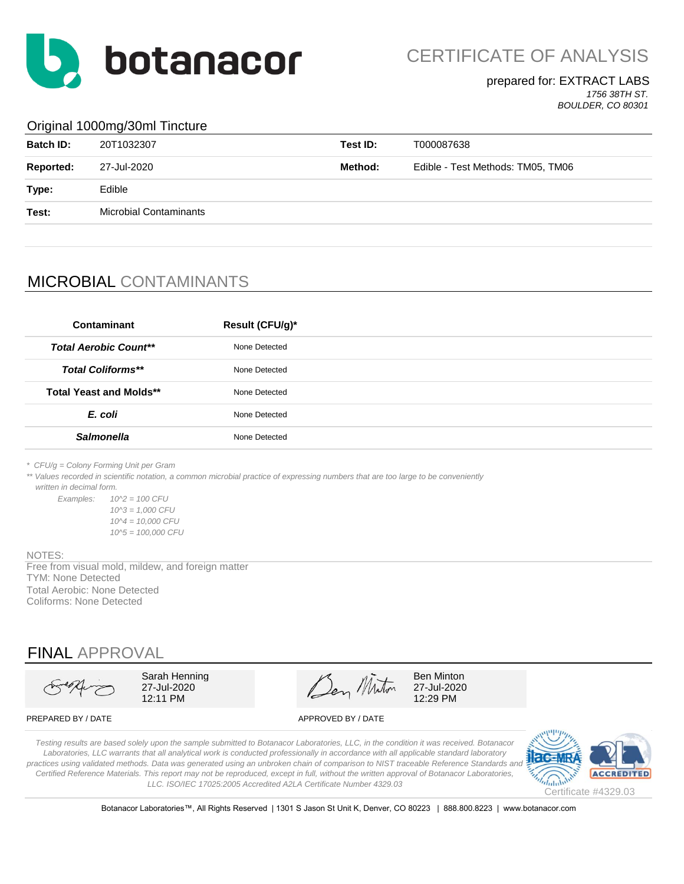

CERTIFICATE OF ANALYSIS

#### prepared for: EXTRACT LABS *1756 38TH ST.*

*BOULDER, CO 80301*

#### Original 1000mg/30ml Tincture

| <b>Batch ID:</b> | 20T1032307                    | Test ID: | T000087638                        |
|------------------|-------------------------------|----------|-----------------------------------|
| Reported:        | 27-Jul-2020                   | Method:  | Edible - Test Methods: TM05, TM06 |
| Type:            | Edible                        |          |                                   |
| Test:            | <b>Microbial Contaminants</b> |          |                                   |
|                  |                               |          |                                   |

## MICROBIAL CONTAMINANTS

| Contaminant                    | Result (CFU/g)* |
|--------------------------------|-----------------|
| <b>Total Aerobic Count**</b>   | None Detected   |
| <b>Total Coliforms**</b>       | None Detected   |
| <b>Total Yeast and Molds**</b> | None Detected   |
| E. coli                        | None Detected   |
| <b>Salmonella</b>              | None Detected   |
|                                |                 |

*\* CFU/g = Colony Forming Unit per Gram*

\*\* Values recorded in scientific notation, a common microbial practice of expressing numbers that are too large to be conveniently  *written in decimal form.*

*Examples: 10^2 = 100 CFU 10^3 = 1,000 CFU 10^4 = 10,000 CFU 10^5 = 100,000 CFU*

#### NOTES:

Free from visual mold, mildew, and foreign matter TYM: None Detected Total Aerobic: None Detected Coliforms: None Detected

## FINAL APPROVAL

Sarah Henning  $\mathscr{A}$   $\mathscr{A}$  Ben Minton 27-Jul-2020 27-Jul-2020 12:11 PM  $\sim$  12:29 PM

PREPARED BY / DATE APPROVED BY / DATE

*Testing results are based solely upon the sample submitted to Botanacor Laboratories, LLC, in the condition it was received. Botanacor Laboratories, LLC warrants that all analytical work is conducted professionally in accordance with all applicable standard laboratory*  practices using validated methods. Data was generated using an unbroken chain of comparison to NIST traceable Reference Standards and *Certified Reference Materials. This report may not be reproduced, except in full, without the written approval of Botanacor Laboratories, LLC. ISO/IEC 17025:2005 Accredited A2LA Certificate Number 4329.03*



Botanacor Laboratories™, All Rights Reserved | 1301 S Jason St Unit K, Denver, CO 80223 | 888.800.8223 | www.botanacor.com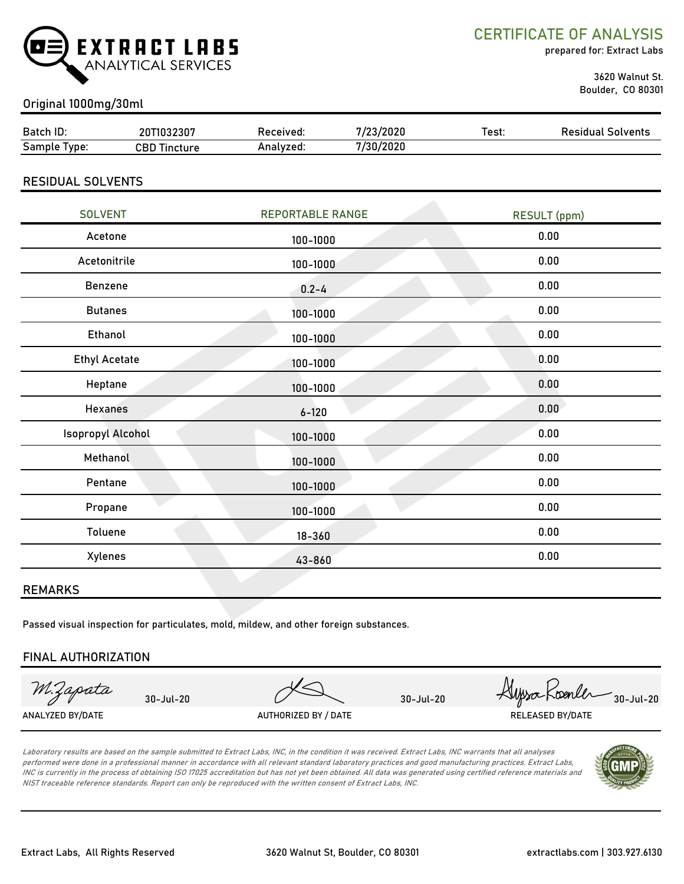

CERTIFICATE OF ANALYSIS

prepared for: Extract Labs

 3620 Walnut St. Boulder, CO 80301

### Original 1000mg/30ml

| Batch ID:        | 20T1032307          | Received: | 7/23/2020 | Test: | <b>Residual Solvents</b> |
|------------------|---------------------|-----------|-----------|-------|--------------------------|
| Sample<br>I vpe: | <b>CBD Tincture</b> | Analyzed: | 7/30/2020 |       |                          |
|                  |                     |           |           |       |                          |

#### RESIDUAL SOLVENTS

| <b>SOLVENT</b>           | <b>REPORTABLE RANGE</b> | RESULT (ppm) |
|--------------------------|-------------------------|--------------|
| Acetone                  | 100-1000                | 0.00         |
| Acetonitrile             | 100-1000                | 0.00         |
| Benzene                  | $0.2 - 4$               | 0.00         |
| <b>Butanes</b>           | 100-1000                | 0.00         |
| Ethanol                  | 100-1000                | 0.00         |
| <b>Ethyl Acetate</b>     | 100-1000                | 0.00         |
| Heptane                  | 100-1000                | 0.00         |
| <b>Hexanes</b>           | $6 - 120$               | 0.00         |
| <b>Isopropyl Alcohol</b> | 100-1000                | 0.00         |
| Methanol                 | 100-1000                | 0.00         |
| Pentane                  | 100-1000                | 0.00         |
| Propane                  | 100-1000                | 0.00         |
| Toluene                  | $18 - 360$              | 0.00         |
| Xylenes                  | 43-860                  | 0.00         |
|                          |                         |              |

#### REMARKS

Passed visual inspection for particulates, mold, mildew, and other foreign substances.

#### FINAL AUTHORIZATION

M.Zapata

ANALYZED BY/DATE AUTHORIZED BY / DATE AUTHORIZED BY / DATE RELEASED BY/DATE

30-Jul-20 30-Jul-20 30-Jul-20

Laboratory results are based on the sample submitted to Extract Labs, INC, in the condition it was received. Extract Labs, INC warrants that all analyses performed were done in a professional manner in accordance with all relevant standard laboratory practices and good manufacturing practices. Extract Labs, INC is currently in the process of obtaining ISO 17025 accreditation but has not yet been obtained. All data was generated using certified reference materials and NIST traceable reference standards. Report can only be reproduced with the written consent of Extract Labs, INC.